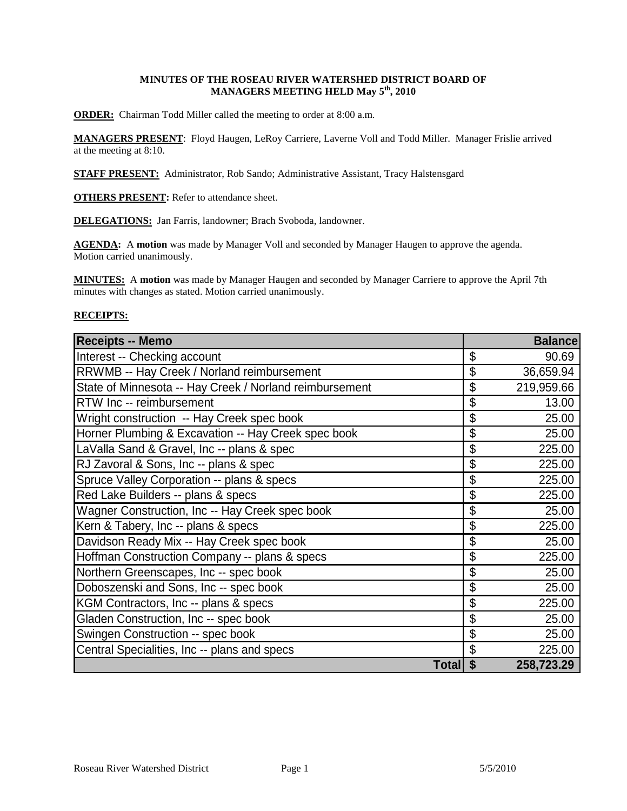# **MINUTES OF THE ROSEAU RIVER WATERSHED DISTRICT BOARD OF MANAGERS MEETING HELD May 5th, 2010**

**ORDER:** Chairman Todd Miller called the meeting to order at 8:00 a.m.

**MANAGERS PRESENT**: Floyd Haugen, LeRoy Carriere, Laverne Voll and Todd Miller. Manager Frislie arrived at the meeting at 8:10.

**STAFF PRESENT:** Administrator, Rob Sando; Administrative Assistant, Tracy Halstensgard

**OTHERS PRESENT:** Refer to attendance sheet.

**DELEGATIONS:** Jan Farris, landowner; Brach Svoboda, landowner.

**AGENDA:** A **motion** was made by Manager Voll and seconded by Manager Haugen to approve the agenda. Motion carried unanimously.

**MINUTES:** A **motion** was made by Manager Haugen and seconded by Manager Carriere to approve the April 7th minutes with changes as stated. Motion carried unanimously.

# **RECEIPTS:**

| <b>Receipts -- Memo</b>                                 | <b>Balance</b>   |
|---------------------------------------------------------|------------------|
| Interest -- Checking account                            | \$<br>90.69      |
| RRWMB -- Hay Creek / Norland reimbursement              | \$<br>36,659.94  |
| State of Minnesota -- Hay Creek / Norland reimbursement | \$<br>219,959.66 |
| RTW Inc -- reimbursement                                | \$<br>13.00      |
| Wright construction -- Hay Creek spec book              | \$<br>25.00      |
| Horner Plumbing & Excavation -- Hay Creek spec book     | \$<br>25.00      |
| LaValla Sand & Gravel, Inc -- plans & spec              | \$<br>225.00     |
| RJ Zavoral & Sons, Inc -- plans & spec                  | \$<br>225.00     |
| Spruce Valley Corporation -- plans & specs              | \$<br>225.00     |
| Red Lake Builders -- plans & specs                      | \$<br>225.00     |
| Wagner Construction, Inc -- Hay Creek spec book         | \$<br>25.00      |
| Kern & Tabery, Inc -- plans & specs                     | \$<br>225.00     |
| Davidson Ready Mix -- Hay Creek spec book               | \$<br>25.00      |
| Hoffman Construction Company -- plans & specs           | \$<br>225.00     |
| Northern Greenscapes, Inc -- spec book                  | \$<br>25.00      |
| Doboszenski and Sons, Inc -- spec book                  | \$<br>25.00      |
| KGM Contractors, Inc -- plans & specs                   | \$<br>225.00     |
| Gladen Construction, Inc -- spec book                   | \$<br>25.00      |
| Swingen Construction -- spec book                       | \$<br>25.00      |
| Central Specialities, Inc -- plans and specs            | \$<br>225.00     |
| Total \$                                                | 258,723.29       |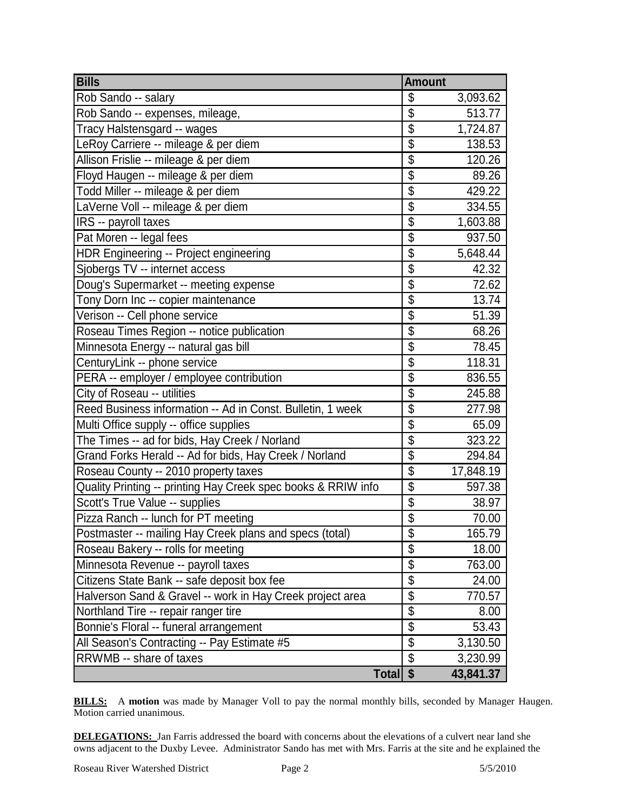| <b>Bills</b>                                                  | <b>Amount</b>            |           |
|---------------------------------------------------------------|--------------------------|-----------|
| Rob Sando -- salary                                           | \$                       | 3,093.62  |
| Rob Sando -- expenses, mileage,                               | $\overline{\mathbb{S}}$  | 513.77    |
| Tracy Halstensgard -- wages                                   | $\overline{\$}$          | 1,724.87  |
| LeRoy Carriere -- mileage & per diem                          | $\overline{\$}$          | 138.53    |
| Allison Frislie -- mileage & per diem                         | \$                       | 120.26    |
| Floyd Haugen -- mileage & per diem                            | $\overline{\$}$          | 89.26     |
| Todd Miller -- mileage & per diem                             | $\overline{\$}$          | 429.22    |
| LaVerne Voll -- mileage & per diem                            | $\overline{\$}$          | 334.55    |
| IRS -- payroll taxes                                          | \$                       | 1,603.88  |
| Pat Moren -- legal fees                                       | $\overline{\$}$          | 937.50    |
| HDR Engineering -- Project engineering                        | $\overline{\mathcal{G}}$ | 5,648.44  |
| Sjobergs TV -- internet access                                | $\overline{\$}$          | 42.32     |
| Doug's Supermarket -- meeting expense                         | $\overline{\mathcal{S}}$ | 72.62     |
| Tony Dorn Inc -- copier maintenance                           | $\overline{\$}$          | 13.74     |
| Verison -- Cell phone service                                 | $\overline{\$}$          | 51.39     |
| Roseau Times Region -- notice publication                     | $\overline{\mathcal{S}}$ | 68.26     |
| Minnesota Energy -- natural gas bill                          | $\overline{\mathcal{S}}$ | 78.45     |
| CenturyLink -- phone service                                  | $\overline{\$}$          | 118.31    |
| PERA -- employer / employee contribution                      | $\overline{\mathcal{G}}$ | 836.55    |
| City of Roseau -- utilities                                   | \$                       | 245.88    |
| Reed Business information -- Ad in Const. Bulletin, 1 week    | $\overline{\$}$          | 277.98    |
| Multi Office supply -- office supplies                        | $\overline{\$}$          | 65.09     |
| The Times -- ad for bids, Hay Creek / Norland                 | $\overline{\$}$          | 323.22    |
| Grand Forks Herald -- Ad for bids, Hay Creek / Norland        | $\overline{\mathcal{S}}$ | 294.84    |
| Roseau County -- 2010 property taxes                          | $\overline{\$}$          | 17,848.19 |
| Quality Printing -- printing Hay Creek spec books & RRIW info | $\overline{\$}$          | 597.38    |
| Scott's True Value -- supplies                                | $\overline{\$}$          | 38.97     |
| Pizza Ranch -- lunch for PT meeting                           | $\overline{\mathcal{L}}$ | 70.00     |
| Postmaster -- mailing Hay Creek plans and specs (total)       | $\overline{\$}$          | 165.79    |
| Roseau Bakery -- rolls for meeting                            | $\overline{\$}$          | 18.00     |
| Minnesota Revenue -- payroll taxes                            | $\overline{\$}$          | 763.00    |
| Citizens State Bank -- safe deposit box fee                   | $\overline{\$}$          | 24.00     |
| Halverson Sand & Gravel -- work in Hay Creek project area     | $\overline{\mathcal{S}}$ | 770.57    |
| Northland Tire -- repair ranger tire                          | \$                       | 8.00      |
| Bonnie's Floral -- funeral arrangement                        | \$                       | 53.43     |
| All Season's Contracting -- Pay Estimate #5                   | $\overline{\$}$          | 3,130.50  |
| RRWMB -- share of taxes                                       | $\overline{\mathcal{S}}$ | 3,230.99  |
| Total \$                                                      |                          | 43,841.37 |

**BILLS:** A motion was made by Manager Voll to pay the normal monthly bills, seconded by Manager Haugen. Motion carried unanimous.

**DELEGATIONS:** Jan Farris addressed the board with concerns about the elevations of a culvert near land she owns adjacent to the Duxby Levee. Administrator Sando has met with Mrs. Farris at the site and he explained the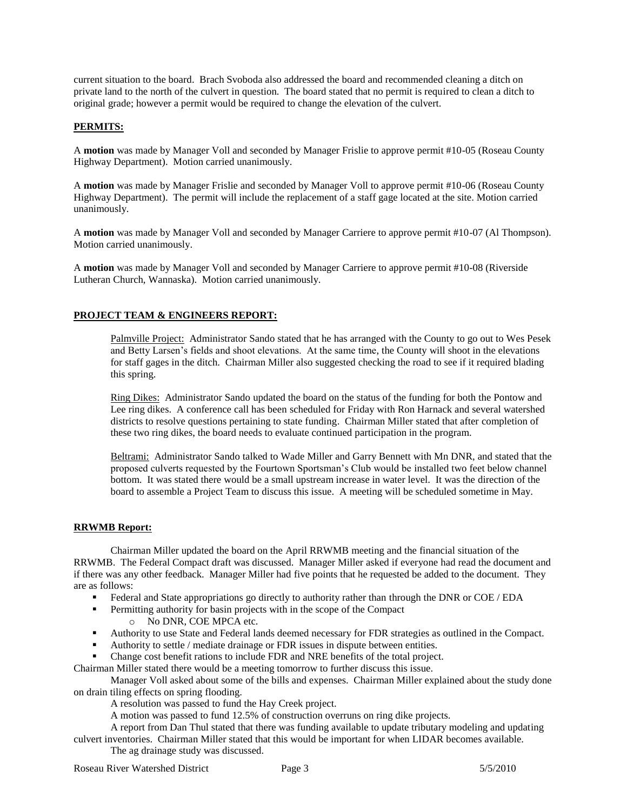current situation to the board. Brach Svoboda also addressed the board and recommended cleaning a ditch on private land to the north of the culvert in question. The board stated that no permit is required to clean a ditch to original grade; however a permit would be required to change the elevation of the culvert.

# **PERMITS:**

A **motion** was made by Manager Voll and seconded by Manager Frislie to approve permit #10-05 (Roseau County Highway Department). Motion carried unanimously.

A **motion** was made by Manager Frislie and seconded by Manager Voll to approve permit #10-06 (Roseau County Highway Department). The permit will include the replacement of a staff gage located at the site. Motion carried unanimously.

A **motion** was made by Manager Voll and seconded by Manager Carriere to approve permit #10-07 (Al Thompson). Motion carried unanimously.

A **motion** was made by Manager Voll and seconded by Manager Carriere to approve permit #10-08 (Riverside Lutheran Church, Wannaska). Motion carried unanimously.

# **PROJECT TEAM & ENGINEERS REPORT:**

Palmville Project: Administrator Sando stated that he has arranged with the County to go out to Wes Pesek and Betty Larsen's fields and shoot elevations. At the same time, the County will shoot in the elevations for staff gages in the ditch. Chairman Miller also suggested checking the road to see if it required blading this spring.

Ring Dikes: Administrator Sando updated the board on the status of the funding for both the Pontow and Lee ring dikes. A conference call has been scheduled for Friday with Ron Harnack and several watershed districts to resolve questions pertaining to state funding. Chairman Miller stated that after completion of these two ring dikes, the board needs to evaluate continued participation in the program.

Beltrami: Administrator Sando talked to Wade Miller and Garry Bennett with Mn DNR, and stated that the proposed culverts requested by the Fourtown Sportsman's Club would be installed two feet below channel bottom. It was stated there would be a small upstream increase in water level. It was the direction of the board to assemble a Project Team to discuss this issue. A meeting will be scheduled sometime in May.

#### **RRWMB Report:**

Chairman Miller updated the board on the April RRWMB meeting and the financial situation of the RRWMB. The Federal Compact draft was discussed. Manager Miller asked if everyone had read the document and if there was any other feedback. Manager Miller had five points that he requested be added to the document. They are as follows:

- Federal and State appropriations go directly to authority rather than through the DNR or COE / EDA
- **Permitting authority for basin projects with in the scope of the Compact** 
	- o No DNR, COE MPCA etc.
- Authority to use State and Federal lands deemed necessary for FDR strategies as outlined in the Compact.
- Authority to settle / mediate drainage or FDR issues in dispute between entities.
- Change cost benefit rations to include FDR and NRE benefits of the total project.

Chairman Miller stated there would be a meeting tomorrow to further discuss this issue.

Manager Voll asked about some of the bills and expenses. Chairman Miller explained about the study done on drain tiling effects on spring flooding.

A resolution was passed to fund the Hay Creek project.

A motion was passed to fund 12.5% of construction overruns on ring dike projects.

A report from Dan Thul stated that there was funding available to update tributary modeling and updating culvert inventories. Chairman Miller stated that this would be important for when LIDAR becomes available.

The ag drainage study was discussed.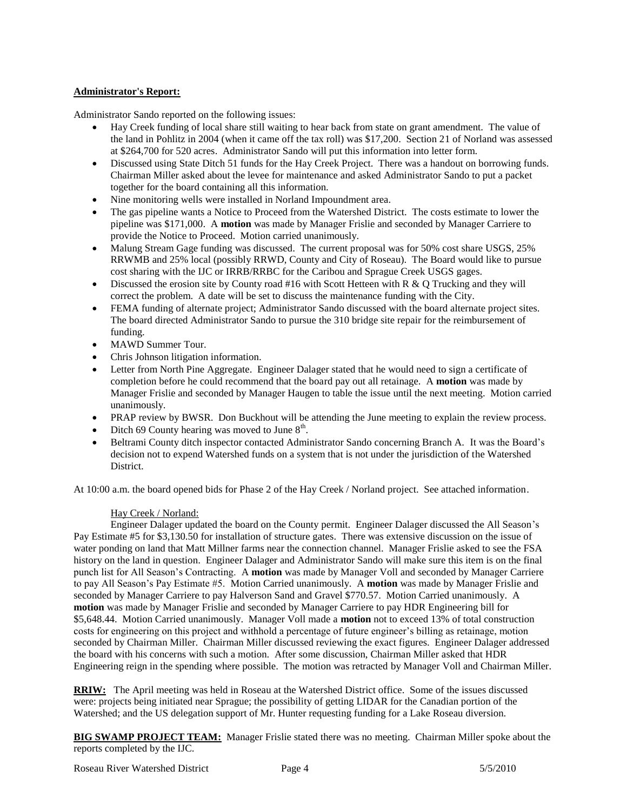# **Administrator's Report:**

Administrator Sando reported on the following issues:

- Hay Creek funding of local share still waiting to hear back from state on grant amendment. The value of the land in Pohlitz in 2004 (when it came off the tax roll) was \$17,200. Section 21 of Norland was assessed at \$264,700 for 520 acres. Administrator Sando will put this information into letter form.
- Discussed using State Ditch 51 funds for the Hay Creek Project. There was a handout on borrowing funds. Chairman Miller asked about the levee for maintenance and asked Administrator Sando to put a packet together for the board containing all this information.
- Nine monitoring wells were installed in Norland Impoundment area.
- The gas pipeline wants a Notice to Proceed from the Watershed District. The costs estimate to lower the pipeline was \$171,000. A **motion** was made by Manager Frislie and seconded by Manager Carriere to provide the Notice to Proceed. Motion carried unanimously.
- Malung Stream Gage funding was discussed. The current proposal was for 50% cost share USGS, 25% RRWMB and 25% local (possibly RRWD, County and City of Roseau). The Board would like to pursue cost sharing with the IJC or IRRB/RRBC for the Caribou and Sprague Creek USGS gages.
- $\bullet$  Discussed the erosion site by County road #16 with Scott Hetteen with R & O Trucking and they will correct the problem. A date will be set to discuss the maintenance funding with the City.
- FEMA funding of alternate project; Administrator Sando discussed with the board alternate project sites. The board directed Administrator Sando to pursue the 310 bridge site repair for the reimbursement of funding.
- MAWD Summer Tour.
- Chris Johnson litigation information.
- Letter from North Pine Aggregate. Engineer Dalager stated that he would need to sign a certificate of completion before he could recommend that the board pay out all retainage. A **motion** was made by Manager Frislie and seconded by Manager Haugen to table the issue until the next meeting. Motion carried unanimously.
- PRAP review by BWSR. Don Buckhout will be attending the June meeting to explain the review process.
- Ditch 69 County hearing was moved to June  $8<sup>th</sup>$ .
- Beltrami County ditch inspector contacted Administrator Sando concerning Branch A. It was the Board's decision not to expend Watershed funds on a system that is not under the jurisdiction of the Watershed District.

At 10:00 a.m. the board opened bids for Phase 2 of the Hay Creek / Norland project. See attached information.

# Hay Creek / Norland:

Engineer Dalager updated the board on the County permit. Engineer Dalager discussed the All Season's Pay Estimate #5 for \$3,130.50 for installation of structure gates. There was extensive discussion on the issue of water ponding on land that Matt Millner farms near the connection channel. Manager Frislie asked to see the FSA history on the land in question. Engineer Dalager and Administrator Sando will make sure this item is on the final punch list for All Season's Contracting. A **motion** was made by Manager Voll and seconded by Manager Carriere to pay All Season's Pay Estimate #5. Motion Carried unanimously. A **motion** was made by Manager Frislie and seconded by Manager Carriere to pay Halverson Sand and Gravel \$770.57. Motion Carried unanimously. A **motion** was made by Manager Frislie and seconded by Manager Carriere to pay HDR Engineering bill for \$5,648.44. Motion Carried unanimously. Manager Voll made a **motion** not to exceed 13% of total construction costs for engineering on this project and withhold a percentage of future engineer's billing as retainage, motion seconded by Chairman Miller. Chairman Miller discussed reviewing the exact figures. Engineer Dalager addressed the board with his concerns with such a motion. After some discussion, Chairman Miller asked that HDR Engineering reign in the spending where possible. The motion was retracted by Manager Voll and Chairman Miller.

**RRIW:** The April meeting was held in Roseau at the Watershed District office. Some of the issues discussed were: projects being initiated near Sprague; the possibility of getting LIDAR for the Canadian portion of the Watershed; and the US delegation support of Mr. Hunter requesting funding for a Lake Roseau diversion.

**BIG SWAMP PROJECT TEAM:** Manager Frislie stated there was no meeting. Chairman Miller spoke about the reports completed by the IJC.